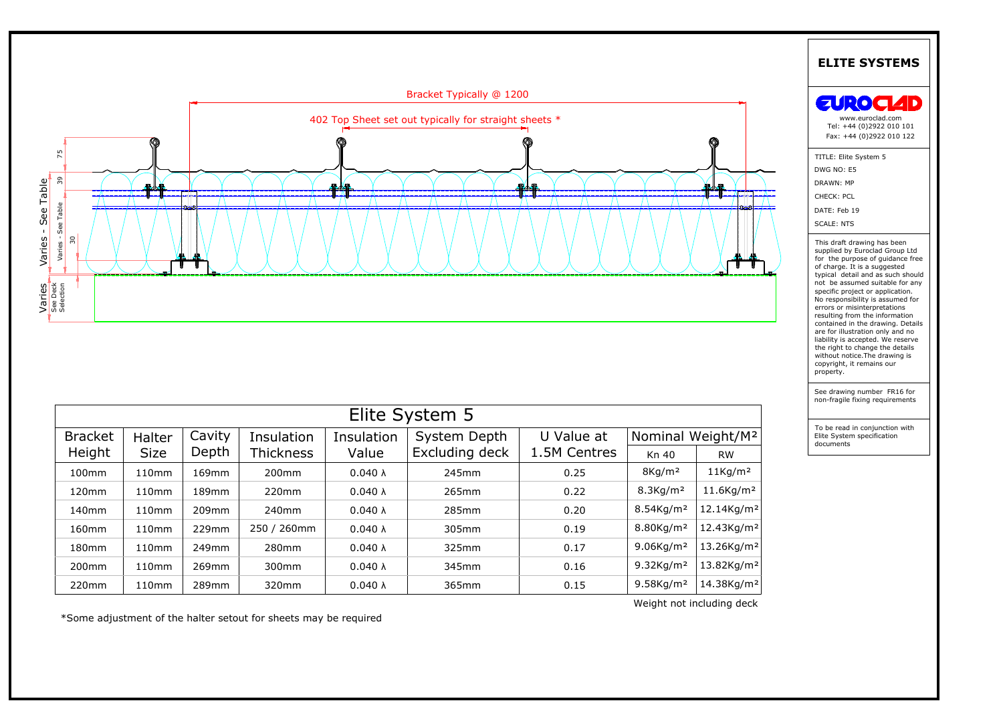

| မီ စီ<br>၁၉       |                   |        |                  |                 |                |              |                          |                               |  |
|-------------------|-------------------|--------|------------------|-----------------|----------------|--------------|--------------------------|-------------------------------|--|
|                   |                   |        |                  |                 |                |              |                          |                               |  |
|                   |                   |        |                  |                 |                |              |                          |                               |  |
|                   |                   |        |                  |                 |                |              |                          |                               |  |
|                   |                   |        |                  |                 |                |              |                          |                               |  |
| Elite System 5    |                   |        |                  |                 |                |              |                          |                               |  |
| <b>Bracket</b>    | Halter            | Cavity | Insulation       | Insulation      | System Depth   | U Value at   |                          | Nominal Weight/M <sup>2</sup> |  |
| Height            | <b>Size</b>       | Depth  | <b>Thickness</b> | Value           | Excluding deck | 1.5M Centres | Kn 40                    | <b>RW</b>                     |  |
| 100mm             | 110mm             | 169mm  | 200mm            | $0.040 \lambda$ | 245mm          | 0.25         | $8$ Kg/m <sup>2</sup>    | $11$ Kg/m <sup>2</sup>        |  |
| 120mm             | 110mm             | 189mm  | 220mm            | $0.040 \lambda$ | 265mm          | 0.22         | 8.3Kg/m <sup>2</sup>     | $11.6$ Kg/m <sup>2</sup>      |  |
| 140 <sub>mm</sub> | 110 <sub>mm</sub> | 209mm  | 240mm            | $0.040 \lambda$ | 285mm          | 0.20         | 8.54Kg/m <sup>2</sup>    | 12.14Kg/m <sup>2</sup>        |  |
| 160mm             | 110mm             | 229mm  | 250 / 260mm      | $0.040 \lambda$ | 305mm          | 0.19         | 8.80Kg/m <sup>2</sup>    | 12.43Kg/m <sup>2</sup>        |  |
| 180 <sub>mm</sub> | 110 <sub>mm</sub> | 249mm  | 280mm            | $0.040 \lambda$ | 325mm          | 0.17         | $9.06$ Kg/m <sup>2</sup> | 13.26Kg/m <sup>2</sup>        |  |
| 200 <sub>mm</sub> | 110 <sub>mm</sub> | 269mm  | 300mm            | $0.040 \lambda$ | 345mm          | 0.16         | 9.32Kg/m <sup>2</sup>    | 13.82Kg/m <sup>2</sup>        |  |
| 220mm             | 110 <sub>mm</sub> | 289mm  | 320mm            | $0.040 \lambda$ | 365mm          | 0.15         | 9.58Kg/m <sup>2</sup>    | 14.38Kg/m <sup>2</sup>        |  |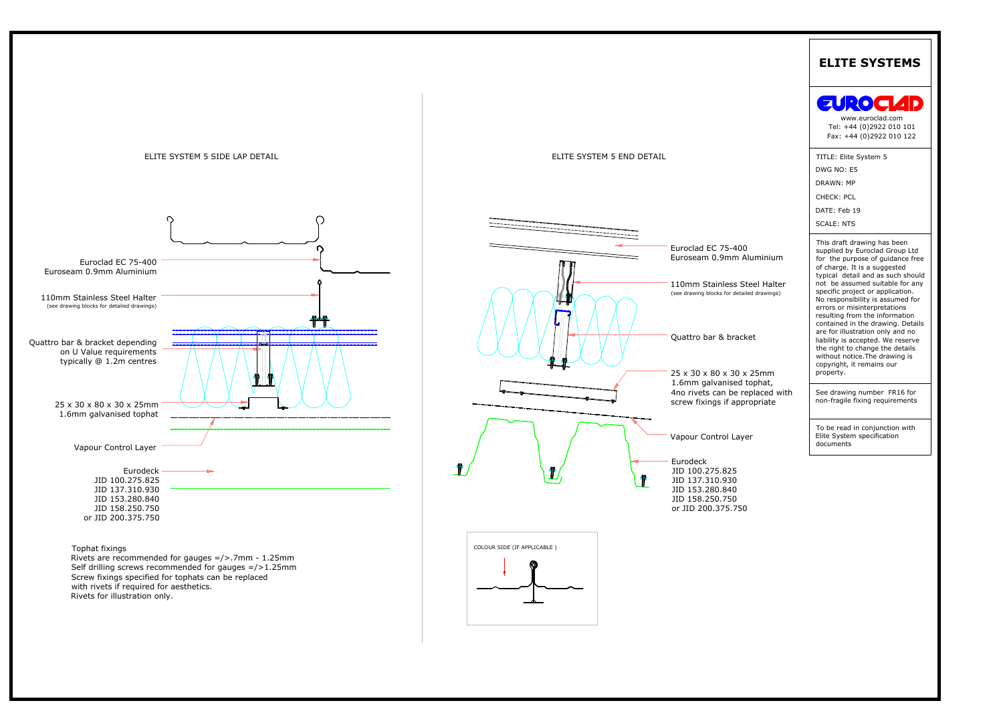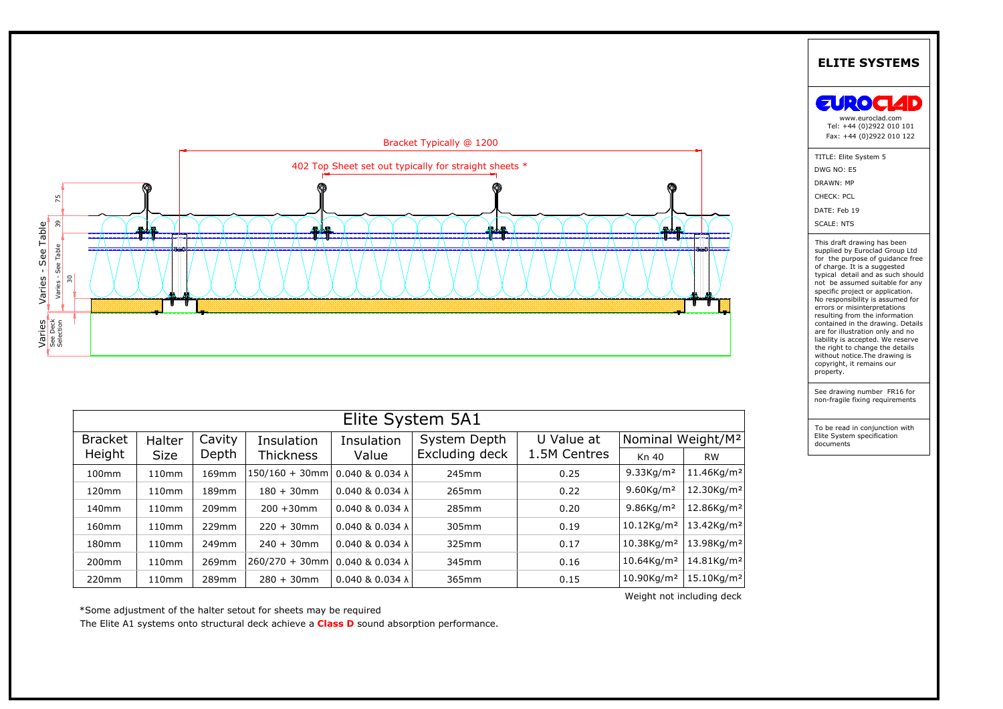

| Elite System 5A1  |                   |        |                   |                             |                |              |                               |                        |  |  |
|-------------------|-------------------|--------|-------------------|-----------------------------|----------------|--------------|-------------------------------|------------------------|--|--|
| <b>Bracket</b>    | Halter            | Cavity | Insulation        | Insulation                  | System Depth   | U Value at   | Nominal Weight/M <sup>2</sup> |                        |  |  |
| Height            | <b>Size</b>       | Depth  | <b>Thickness</b>  | Value                       | Excluding deck | 1.5M Centres | Kn 40                         | <b>RW</b>              |  |  |
| 100 <sub>mm</sub> | 110 <sub>mm</sub> | 169mm  | 150/160 + 30mm    | $0.040$ & $0.034$ $\lambda$ | 245mm          | 0.25         | $9.33$ Kg/m <sup>2</sup>      | 11.46Kg/m <sup>2</sup> |  |  |
| 120 <sub>mm</sub> | 110 <sub>mm</sub> | 189mm  | $180 + 30$ mm     | $0.040$ & $0.034$ $\lambda$ | 265mm          | 0.22         | $9.60$ Kg/m <sup>2</sup>      | 12.30Kg/m <sup>2</sup> |  |  |
| 140 <sub>mm</sub> | 110 <sub>mm</sub> | 209mm  | $200 + 30$ mm     | $0.040$ & $0.034$ $\lambda$ | 285mm          | 0.20         | $9.86$ Kg/m <sup>2</sup>      | 12.86Kg/m <sup>2</sup> |  |  |
| 160 <sub>mm</sub> | 110 <sub>mm</sub> | 229mm  | $220 + 30$ mm     | $0.040$ & $0.034$ $\lambda$ | 305mm          | 0.19         | $10.12$ Kg/m <sup>2</sup>     | 13.42Kg/m <sup>2</sup> |  |  |
| 180 <sub>mm</sub> | 110 <sub>mm</sub> | 249mm  | $240 + 30$ mm     | $0.040$ & $0.034$ $\lambda$ | 325mm          | 0.17         | 10.38Kg/m <sup>2</sup>        | 13.98Kg/m <sup>2</sup> |  |  |
| 200 <sub>mm</sub> | 110 <sub>mm</sub> | 269mm  | $260/270 + 30$ mm | $0.040$ & $0.034$ $\lambda$ | 345mm          | 0.16         | $10.64$ Kg/m <sup>2</sup>     | 14.81Kg/m <sup>2</sup> |  |  |
| 220mm             | 110mm             | 289mm  | $280 + 30$ mm     | $0.040$ & $0.034$ $\lambda$ | 365mm          | 0.15         | 10.90Kg/m <sup>2</sup>        | 15.10Kg/m <sup>2</sup> |  |  |

\*Some adjustment of the halter setout for sheets may be required

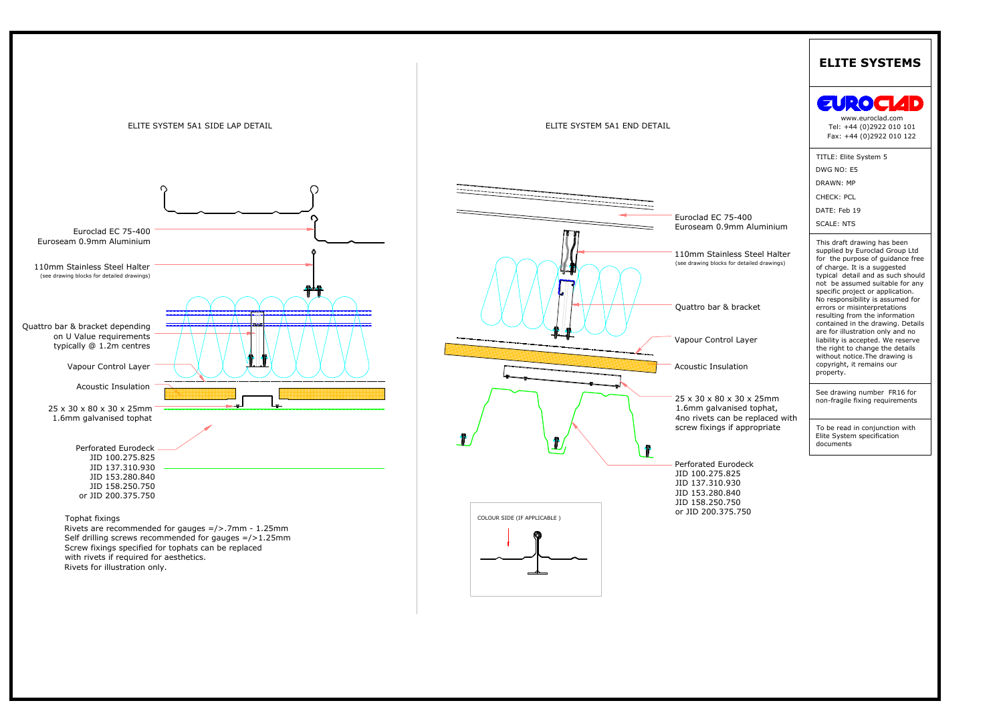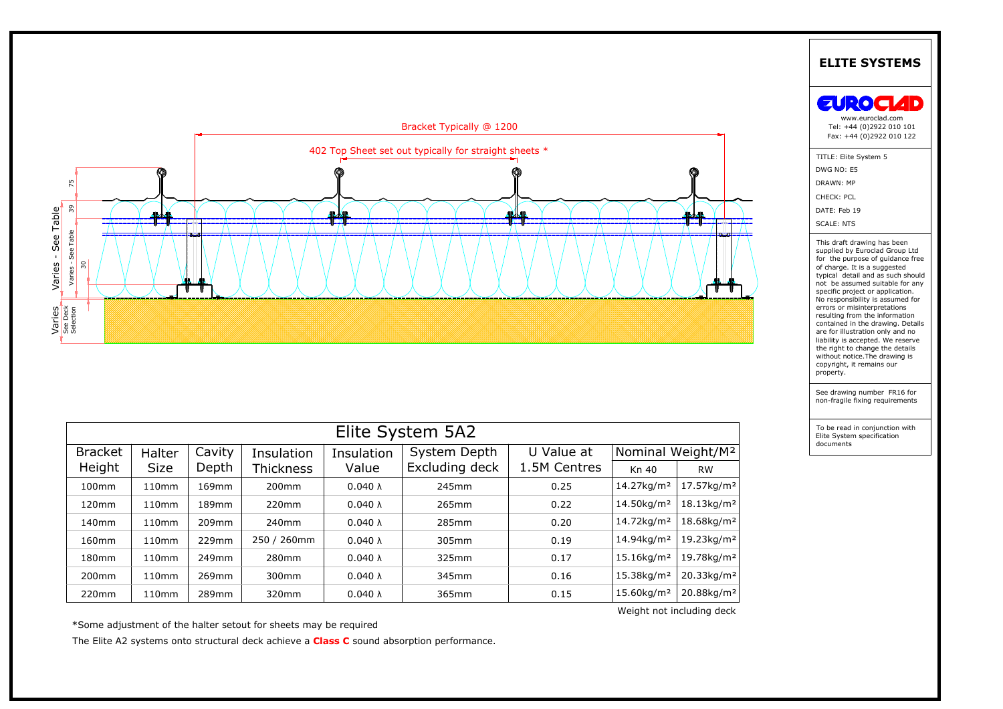

| ដូ ក្តី<br>កំ ហិ  |                   |        |                   |                 |                |              |                               |                        |  |  |
|-------------------|-------------------|--------|-------------------|-----------------|----------------|--------------|-------------------------------|------------------------|--|--|
|                   |                   |        |                   |                 |                |              |                               |                        |  |  |
|                   |                   |        |                   |                 |                |              |                               |                        |  |  |
|                   |                   |        |                   |                 |                |              |                               |                        |  |  |
|                   |                   |        |                   |                 |                |              |                               |                        |  |  |
| Elite System 5A2  |                   |        |                   |                 |                |              |                               |                        |  |  |
| <b>Bracket</b>    | Halter            | Cavity | Insulation        | Insulation      | System Depth   | U Value at   | Nominal Weight/M <sup>2</sup> |                        |  |  |
| Height            | <b>Size</b>       | Depth  | Thickness         | Value           | Excluding deck | 1.5M Centres | Kn 40                         | <b>RW</b>              |  |  |
| 100mm             | 110mm             | 169mm  | 200 <sub>mm</sub> | $0.040 \lambda$ | 245mm          | 0.25         | 14.27kg/m <sup>2</sup>        | 17.57kg/m <sup>2</sup> |  |  |
| 120mm             | 110mm             | 189mm  | 220mm             | $0.040 \lambda$ | 265mm          | 0.22         | 14.50kg/m <sup>2</sup>        | 18.13kg/m <sup>2</sup> |  |  |
| 140 <sub>mm</sub> | 110mm             | 209mm  | 240mm             | $0.040 \lambda$ | 285mm          | 0.20         | 14.72kg/m <sup>2</sup>        | 18.68kg/m <sup>2</sup> |  |  |
| 160 <sub>mm</sub> | 110mm             | 229mm  | 250 / 260mm       | $0.040 \lambda$ | 305mm          | 0.19         | 14.94kg/m <sup>2</sup>        | 19.23kg/m <sup>2</sup> |  |  |
| 180mm             | 110 <sub>mm</sub> | 249mm  | 280mm             | $0.040 \lambda$ | 325mm          | 0.17         | 15.16kg/m <sup>2</sup>        | 19.78kg/m <sup>2</sup> |  |  |
| 200mm             | 110mm             | 269mm  | 300mm             | $0.040 \lambda$ | 345mm          | 0.16         | 15.38kg/m <sup>2</sup>        | 20.33kg/m <sup>2</sup> |  |  |
| 220mm             | 110mm             | 289mm  | 320mm             | $0.040 \lambda$ | 365mm          | 0.15         | 15.60kg/m <sup>2</sup>        | 20.88kg/m <sup>2</sup> |  |  |

\*Some adjustment of the halter setout for sheets may be required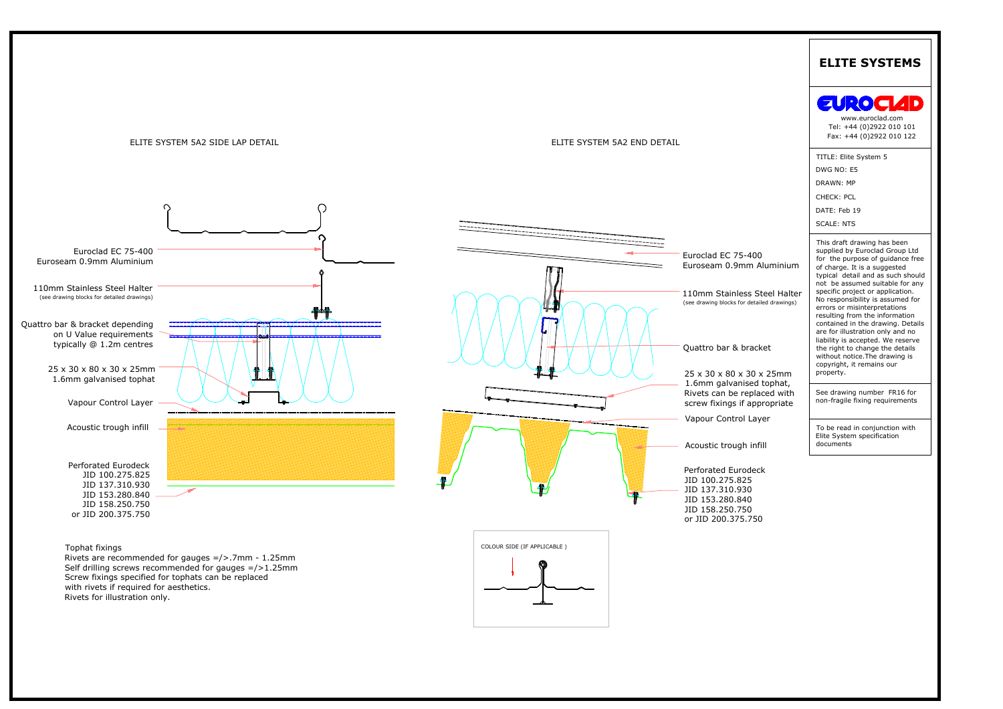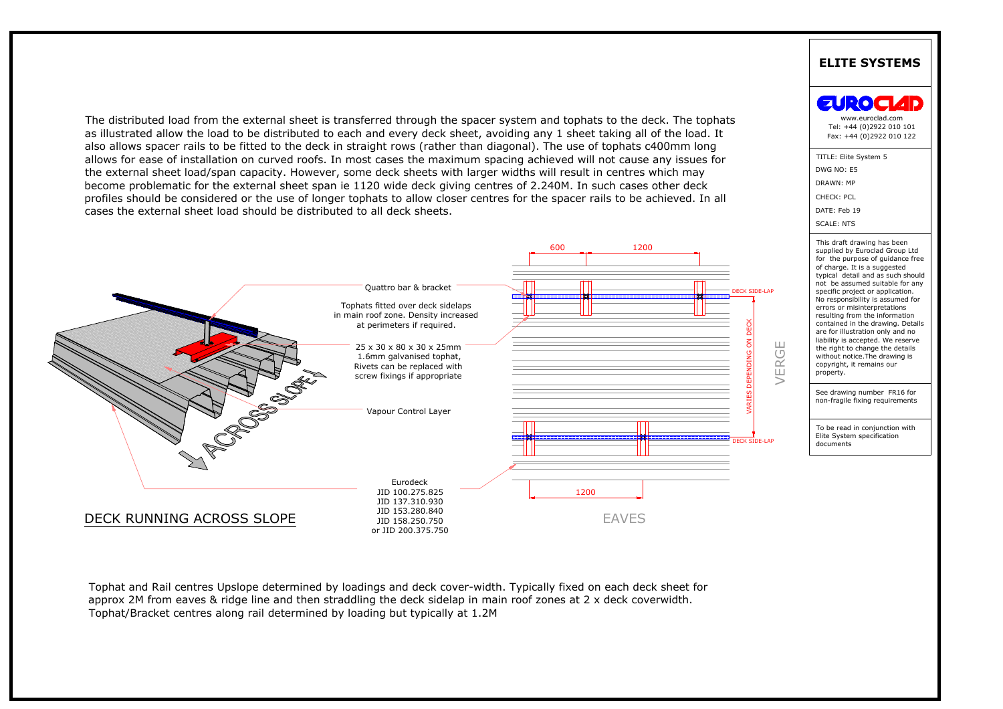

approx 2M from eaves & ridge line and then straddling the deck sidelap in main roof zones at 2 x deck coverwidth.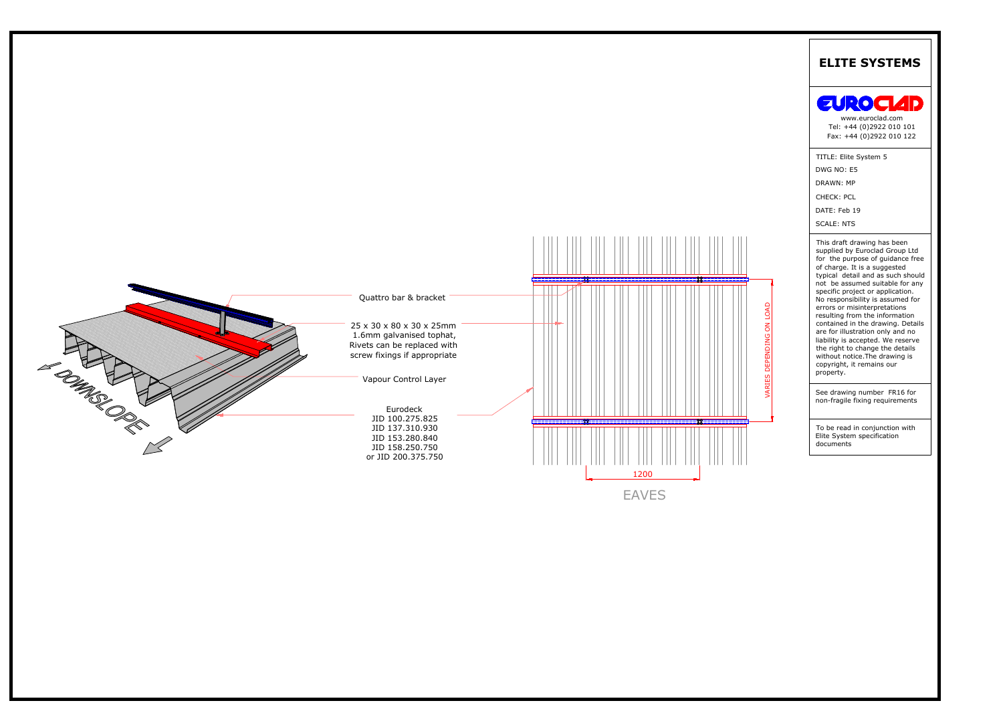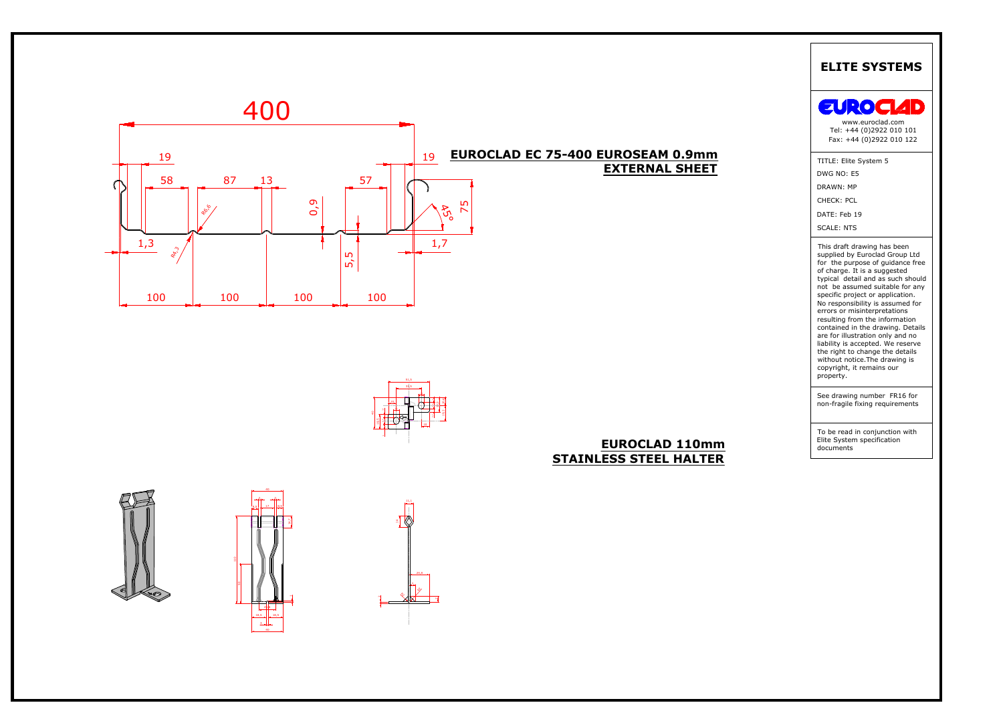









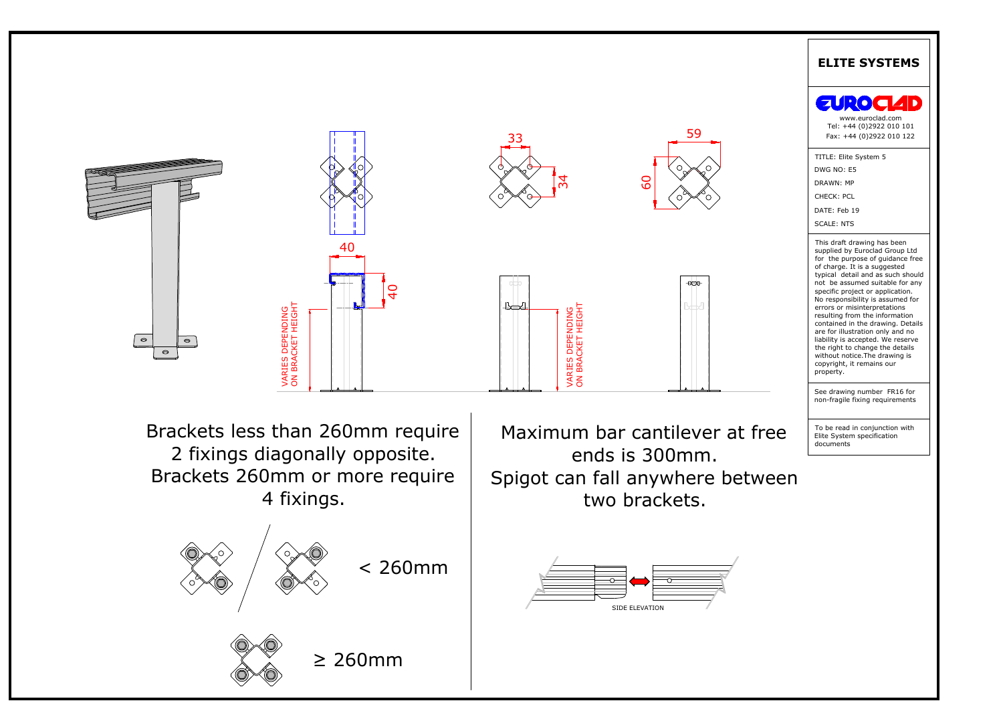